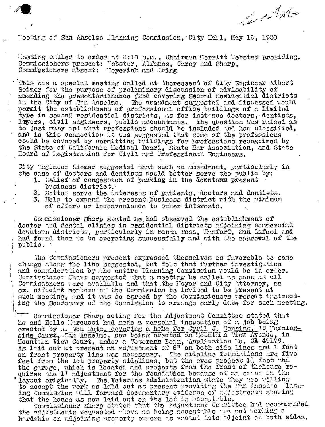The de tales

Nooting of San Ahselmo Microing Commission, City Mc11, May 16, 1950

Leeting called to erdor at 8:10 p.m., Chairman Merritt Mebster presiding. Commissioners present: "ebster, Alfsnes, Carey and Sharp, Commissionors absent: Moyerink and Pring

This was a special meeting called at theregeest of City Engineer Albert Seimer for the purpose of preliminary disoussion of advisability of amending the presentordinance #256 covering Second Residential districts in the City of Con Anselmo. The prendment suggested and discussed would permit the establishment of professional office buildings of a limited type in second regidential districts, as for instance doctors, dentists, layers, civil engineers, public accountants. The question was raised as to just many and what professions should be included and how classified, and in this connection it was suggested that some of the professions could be covered by mermitting buildings for professions recognized by the State of California Ledical Board, State Bar Association, and State Board of Megistration for Civil and Professional Engineers.

City Trgineer Siemer suggested that such an amendment, garticularly in the case of dectors and dentists would better serve the public by:

- 1. Relief of congestion of parking in the downtorm present business district.
- 2. Better serve the interests of patients, doctors and dentists.
- 3. Help to expand the present business district with the minimum of cifort or inconvenience to other interests.

Counissioner Sharp stated he had observed the establishment of doctor and dental clinics in residential districts adjoining compercial downtown districts, particularly in Santa Ross, Hanford, San Rafnel and had found then to be operating successfully and with the approval of the public.

The Comminsioners present expressed themselves as fuverable to some change slong the line suggested, but folt that further investigation and consideration by the entire Pianning Commission would be in order. Commitsioner (fitry suggested that a meeting be called as soon as all Countsconers vere available and that the Mayor and City Attorney, as ex. official members of the Commission be invited to be exesent at such meeting, and it was so agreed by the Commissioners prosent instructing the Secretory of the Counission to arrange corly date for such neeting.

Conmissioner Sharp acting for the Adjustment Conmittee stated that he and Hello Murcucci had made a personal inspection of a job being erected by A. Von Rotz, covering a hete for Jyril J. Denning, 19 Morning-<br>side Court, Can Anselmo, now being erected on MouBURI n View Avenue, in<br>Mountoin View Court, under a Veterans Long, Application No. CL 49179. As 1:1d out at present an adjustment of 6" on both side lines and 1 foot on front property line was necessary. The sideline foundations are five feet from the lot property sidelines, but the eves project  $L_1$  feet and the garage, which is located and prodects from the front of thehouse requires the 1' adjustment for the foundation because of an error in the layout originally. The Veterans Administration state they are willing to accopt the work as laid out at present providing the Fan Ausolno Hamme-<br>ing Coumission will forward documentary evidence of algustments showing that the house as now laid out on the lot is acceptable.

Comminsioner Sharp stated that the Adjustment Counittee had recommended the adjustments requested above as being acceptable and not working a hurdship on adjoining proparty curers as vacuit lets adjoint on both sides.